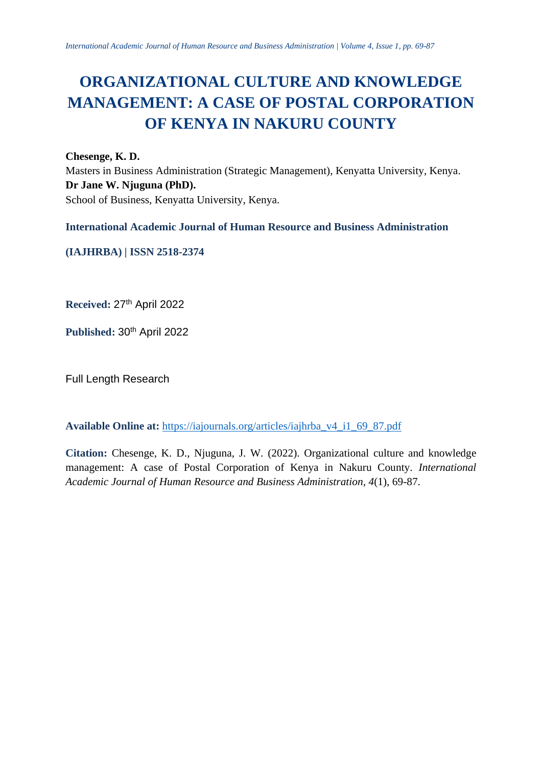# **ORGANIZATIONAL CULTURE AND KNOWLEDGE MANAGEMENT: A CASE OF POSTAL CORPORATION OF KENYA IN NAKURU COUNTY**

**Chesenge, K. D.**

Masters in Business Administration (Strategic Management), Kenyatta University, Kenya. **Dr Jane W. Njuguna (PhD).** School of Business, Kenyatta University, Kenya.

**International Academic Journal of Human Resource and Business Administration**

**(IAJHRBA) | ISSN 2518-2374**

**Received:** 27 th April 2022

Published:  $30<sup>th</sup>$  April 2022

Full Length Research

**Available Online at:** [https://iajournals.org/articles/iajhrba\\_v4\\_i1\\_69\\_87.pdf](https://iajournals.org/articles/iajhrba_v4_i1_69_87.pdf)

**Citation:** Chesenge, K. D., Njuguna, J. W. (2022). Organizational culture and knowledge management: A case of Postal Corporation of Kenya in Nakuru County. *International Academic Journal of Human Resource and Business Administration, 4*(1), 69-87.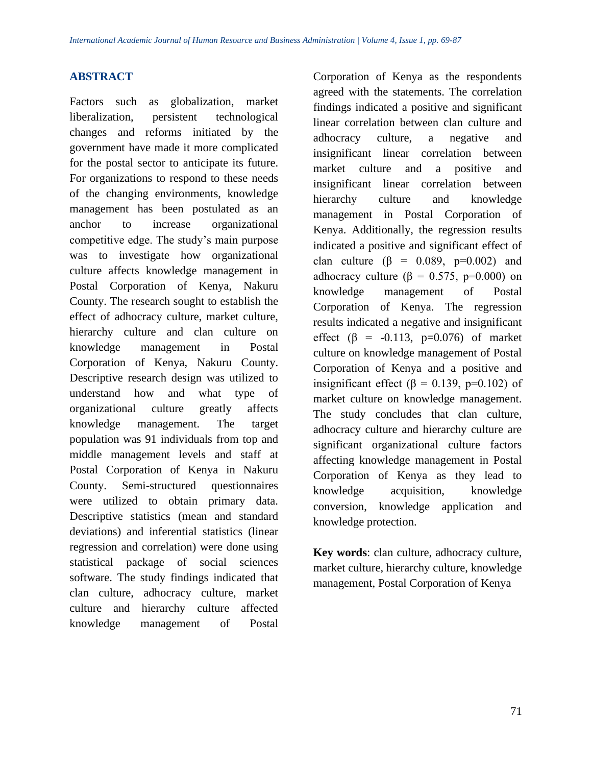# **ABSTRACT**

Factors such as globalization, market liberalization, persistent technological changes and reforms initiated by the government have made it more complicated for the postal sector to anticipate its future. For organizations to respond to these needs of the changing environments, knowledge management has been postulated as an anchor to increase organizational competitive edge. The study's main purpose was to investigate how organizational culture affects knowledge management in Postal Corporation of Kenya, Nakuru County. The research sought to establish the effect of adhocracy culture, market culture, hierarchy culture and clan culture on knowledge management in Postal Corporation of Kenya, Nakuru County. Descriptive research design was utilized to understand how and what type of organizational culture greatly affects knowledge management. The target population was 91 individuals from top and middle management levels and staff at Postal Corporation of Kenya in Nakuru County. Semi-structured questionnaires were utilized to obtain primary data. Descriptive statistics (mean and standard deviations) and inferential statistics (linear regression and correlation) were done using statistical package of social sciences software. The study findings indicated that clan culture, adhocracy culture, market culture and hierarchy culture affected knowledge management of Postal

Corporation of Kenya as the respondents agreed with the statements. The correlation findings indicated a positive and significant linear correlation between clan culture and adhocracy culture, a negative and insignificant linear correlation between market culture and a positive and insignificant linear correlation between hierarchy culture and knowledge management in Postal Corporation of Kenya. Additionally, the regression results indicated a positive and significant effect of clan culture  $(\beta = 0.089, p=0.002)$  and adhocracy culture ( $\beta = 0.575$ , p=0.000) on knowledge management of Postal Corporation of Kenya. The regression results indicated a negative and insignificant effect ( $\beta$  = -0.113, p=0.076) of market culture on knowledge management of Postal Corporation of Kenya and a positive and insignificant effect ( $\beta$  = 0.139, p=0.102) of market culture on knowledge management. The study concludes that clan culture, adhocracy culture and hierarchy culture are significant organizational culture factors affecting knowledge management in Postal Corporation of Kenya as they lead to knowledge acquisition, knowledge conversion, knowledge application and knowledge protection.

**Key words**: clan culture, adhocracy culture, market culture, hierarchy culture, knowledge management, Postal Corporation of Kenya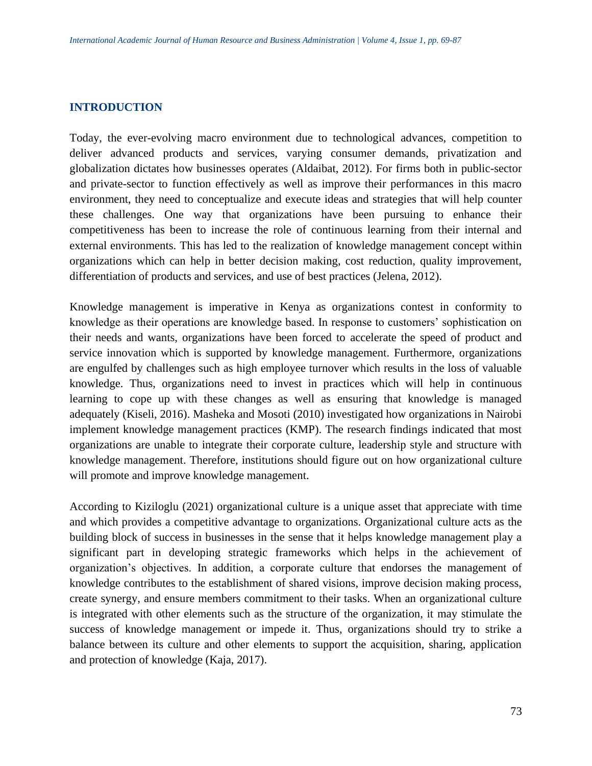## **INTRODUCTION**

Today, the ever-evolving macro environment due to technological advances, competition to deliver advanced products and services, varying consumer demands, privatization and globalization dictates how businesses operates (Aldaibat, 2012). For firms both in public-sector and private-sector to function effectively as well as improve their performances in this macro environment, they need to conceptualize and execute ideas and strategies that will help counter these challenges. One way that organizations have been pursuing to enhance their competitiveness has been to increase the role of continuous learning from their internal and external environments. This has led to the realization of knowledge management concept within organizations which can help in better decision making, cost reduction, quality improvement, differentiation of products and services, and use of best practices (Jelena, 2012).

Knowledge management is imperative in Kenya as organizations contest in conformity to knowledge as their operations are knowledge based. In response to customers' sophistication on their needs and wants, organizations have been forced to accelerate the speed of product and service innovation which is supported by knowledge management. Furthermore, organizations are engulfed by challenges such as high employee turnover which results in the loss of valuable knowledge. Thus, organizations need to invest in practices which will help in continuous learning to cope up with these changes as well as ensuring that knowledge is managed adequately (Kiseli, 2016). Masheka and Mosoti (2010) investigated how organizations in Nairobi implement knowledge management practices (KMP). The research findings indicated that most organizations are unable to integrate their corporate culture, leadership style and structure with knowledge management. Therefore, institutions should figure out on how organizational culture will promote and improve knowledge management.

According to Kiziloglu (2021) organizational culture is a unique asset that appreciate with time and which provides a competitive advantage to organizations. Organizational culture acts as the building block of success in businesses in the sense that it helps knowledge management play a significant part in developing strategic frameworks which helps in the achievement of organization's objectives. In addition, a corporate culture that endorses the management of knowledge contributes to the establishment of shared visions, improve decision making process, create synergy, and ensure members commitment to their tasks. When an organizational culture is integrated with other elements such as the structure of the organization, it may stimulate the success of knowledge management or impede it. Thus, organizations should try to strike a balance between its culture and other elements to support the acquisition, sharing, application and protection of knowledge (Kaja, 2017).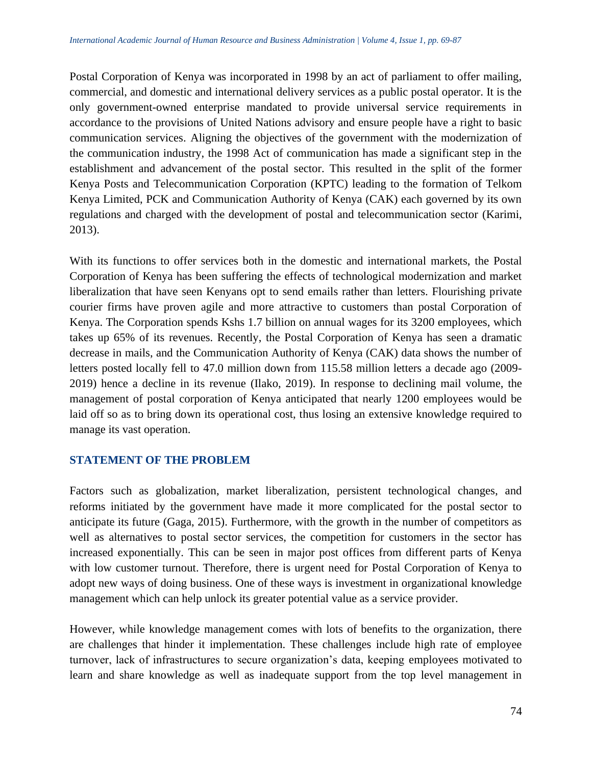Postal Corporation of Kenya was incorporated in 1998 by an act of parliament to offer mailing, commercial, and domestic and international delivery services as a public postal operator. It is the only government-owned enterprise mandated to provide universal service requirements in accordance to the provisions of United Nations advisory and ensure people have a right to basic communication services. Aligning the objectives of the government with the modernization of the communication industry, the 1998 Act of communication has made a significant step in the establishment and advancement of the postal sector. This resulted in the split of the former Kenya Posts and Telecommunication Corporation (KPTC) leading to the formation of Telkom Kenya Limited, PCK and Communication Authority of Kenya (CAK) each governed by its own regulations and charged with the development of postal and telecommunication sector (Karimi, 2013).

With its functions to offer services both in the domestic and international markets, the Postal Corporation of Kenya has been suffering the effects of technological modernization and market liberalization that have seen Kenyans opt to send emails rather than letters. Flourishing private courier firms have proven agile and more attractive to customers than postal Corporation of Kenya. The Corporation spends Kshs 1.7 billion on annual wages for its 3200 employees, which takes up 65% of its revenues. Recently, the Postal Corporation of Kenya has seen a dramatic decrease in mails, and the Communication Authority of Kenya (CAK) data shows the number of letters posted locally fell to 47.0 million down from 115.58 million letters a decade ago (2009- 2019) hence a decline in its revenue (Ilako, 2019). In response to declining mail volume, the management of postal corporation of Kenya anticipated that nearly 1200 employees would be laid off so as to bring down its operational cost, thus losing an extensive knowledge required to manage its vast operation.

# **STATEMENT OF THE PROBLEM**

Factors such as globalization, market liberalization, persistent technological changes, and reforms initiated by the government have made it more complicated for the postal sector to anticipate its future (Gaga, 2015). Furthermore, with the growth in the number of competitors as well as alternatives to postal sector services, the competition for customers in the sector has increased exponentially. This can be seen in major post offices from different parts of Kenya with low customer turnout. Therefore, there is urgent need for Postal Corporation of Kenya to adopt new ways of doing business. One of these ways is investment in organizational knowledge management which can help unlock its greater potential value as a service provider.

However, while knowledge management comes with lots of benefits to the organization, there are challenges that hinder it implementation. These challenges include high rate of employee turnover, lack of infrastructures to secure organization's data, keeping employees motivated to learn and share knowledge as well as inadequate support from the top level management in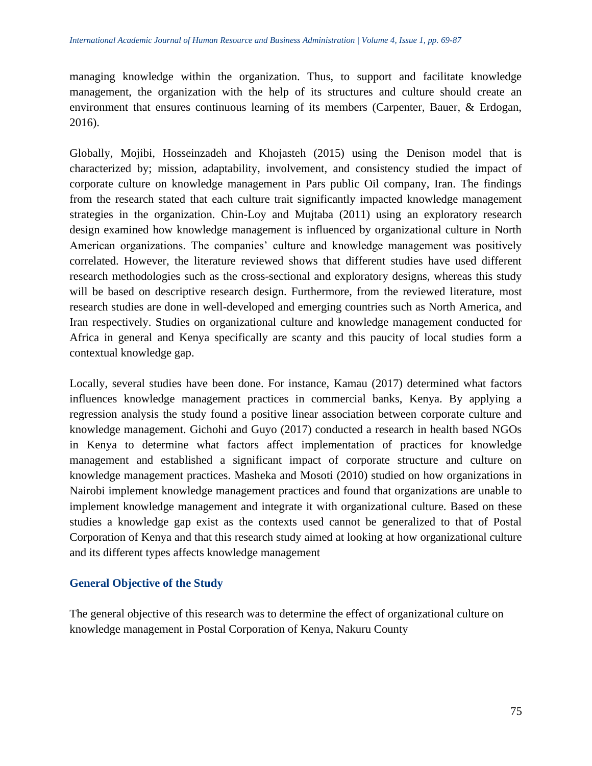managing knowledge within the organization. Thus, to support and facilitate knowledge management, the organization with the help of its structures and culture should create an environment that ensures continuous learning of its members (Carpenter, Bauer, & Erdogan, 2016).

Globally, Mojibi, Hosseinzadeh and Khojasteh (2015) using the Denison model that is characterized by; mission, adaptability, involvement, and consistency studied the impact of corporate culture on knowledge management in Pars public Oil company, Iran. The findings from the research stated that each culture trait significantly impacted knowledge management strategies in the organization. Chin-Loy and Mujtaba (2011) using an exploratory research design examined how knowledge management is influenced by organizational culture in North American organizations. The companies' culture and knowledge management was positively correlated. However, the literature reviewed shows that different studies have used different research methodologies such as the cross-sectional and exploratory designs, whereas this study will be based on descriptive research design. Furthermore, from the reviewed literature, most research studies are done in well-developed and emerging countries such as North America, and Iran respectively. Studies on organizational culture and knowledge management conducted for Africa in general and Kenya specifically are scanty and this paucity of local studies form a contextual knowledge gap.

Locally, several studies have been done. For instance, Kamau (2017) determined what factors influences knowledge management practices in commercial banks, Kenya. By applying a regression analysis the study found a positive linear association between corporate culture and knowledge management. Gichohi and Guyo (2017) conducted a research in health based NGOs in Kenya to determine what factors affect implementation of practices for knowledge management and established a significant impact of corporate structure and culture on knowledge management practices. Masheka and Mosoti (2010) studied on how organizations in Nairobi implement knowledge management practices and found that organizations are unable to implement knowledge management and integrate it with organizational culture. Based on these studies a knowledge gap exist as the contexts used cannot be generalized to that of Postal Corporation of Kenya and that this research study aimed at looking at how organizational culture and its different types affects knowledge management

# **General Objective of the Study**

The general objective of this research was to determine the effect of organizational culture on knowledge management in Postal Corporation of Kenya, Nakuru County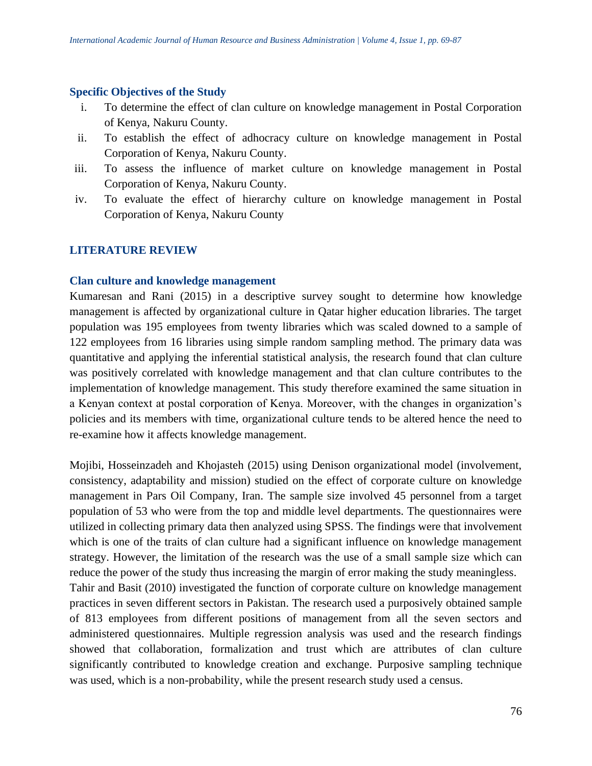#### **Specific Objectives of the Study**

- i. To determine the effect of clan culture on knowledge management in Postal Corporation of Kenya, Nakuru County.
- ii. To establish the effect of adhocracy culture on knowledge management in Postal Corporation of Kenya, Nakuru County.
- iii. To assess the influence of market culture on knowledge management in Postal Corporation of Kenya, Nakuru County.
- iv. To evaluate the effect of hierarchy culture on knowledge management in Postal Corporation of Kenya, Nakuru County

## **LITERATURE REVIEW**

#### **Clan culture and knowledge management**

Kumaresan and Rani (2015) in a descriptive survey sought to determine how knowledge management is affected by organizational culture in Qatar higher education libraries. The target population was 195 employees from twenty libraries which was scaled downed to a sample of 122 employees from 16 libraries using simple random sampling method. The primary data was quantitative and applying the inferential statistical analysis, the research found that clan culture was positively correlated with knowledge management and that clan culture contributes to the implementation of knowledge management. This study therefore examined the same situation in a Kenyan context at postal corporation of Kenya. Moreover, with the changes in organization's policies and its members with time, organizational culture tends to be altered hence the need to re-examine how it affects knowledge management.

Mojibi, Hosseinzadeh and Khojasteh (2015) using Denison organizational model (involvement, consistency, adaptability and mission) studied on the effect of corporate culture on knowledge management in Pars Oil Company, Iran. The sample size involved 45 personnel from a target population of 53 who were from the top and middle level departments. The questionnaires were utilized in collecting primary data then analyzed using SPSS. The findings were that involvement which is one of the traits of clan culture had a significant influence on knowledge management strategy. However, the limitation of the research was the use of a small sample size which can reduce the power of the study thus increasing the margin of error making the study meaningless. Tahir and Basit (2010) investigated the function of corporate culture on knowledge management practices in seven different sectors in Pakistan. The research used a purposively obtained sample of 813 employees from different positions of management from all the seven sectors and administered questionnaires. Multiple regression analysis was used and the research findings showed that collaboration, formalization and trust which are attributes of clan culture significantly contributed to knowledge creation and exchange. Purposive sampling technique was used, which is a non-probability, while the present research study used a census.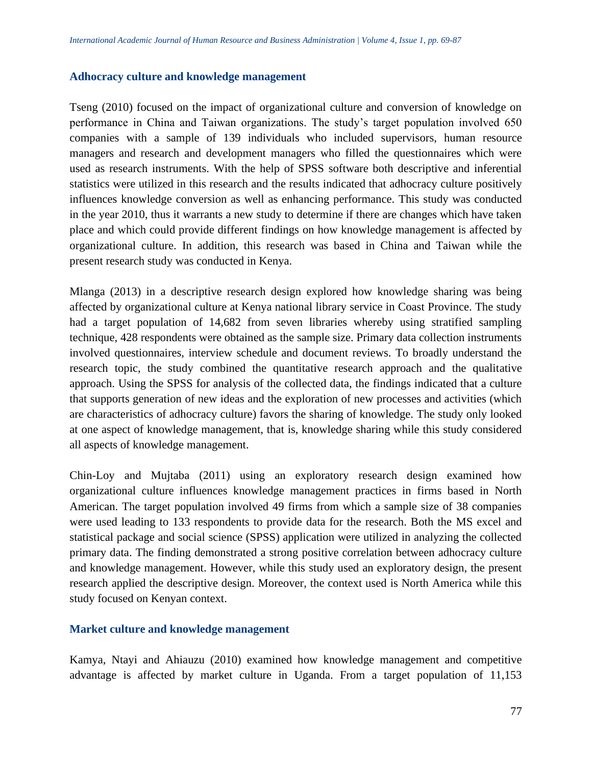#### **Adhocracy culture and knowledge management**

Tseng (2010) focused on the impact of organizational culture and conversion of knowledge on performance in China and Taiwan organizations. The study's target population involved 650 companies with a sample of 139 individuals who included supervisors, human resource managers and research and development managers who filled the questionnaires which were used as research instruments. With the help of SPSS software both descriptive and inferential statistics were utilized in this research and the results indicated that adhocracy culture positively influences knowledge conversion as well as enhancing performance. This study was conducted in the year 2010, thus it warrants a new study to determine if there are changes which have taken place and which could provide different findings on how knowledge management is affected by organizational culture. In addition, this research was based in China and Taiwan while the present research study was conducted in Kenya.

Mlanga (2013) in a descriptive research design explored how knowledge sharing was being affected by organizational culture at Kenya national library service in Coast Province. The study had a target population of 14,682 from seven libraries whereby using stratified sampling technique, 428 respondents were obtained as the sample size. Primary data collection instruments involved questionnaires, interview schedule and document reviews. To broadly understand the research topic, the study combined the quantitative research approach and the qualitative approach. Using the SPSS for analysis of the collected data, the findings indicated that a culture that supports generation of new ideas and the exploration of new processes and activities (which are characteristics of adhocracy culture) favors the sharing of knowledge. The study only looked at one aspect of knowledge management, that is, knowledge sharing while this study considered all aspects of knowledge management.

Chin-Loy and Mujtaba (2011) using an exploratory research design examined how organizational culture influences knowledge management practices in firms based in North American. The target population involved 49 firms from which a sample size of 38 companies were used leading to 133 respondents to provide data for the research. Both the MS excel and statistical package and social science (SPSS) application were utilized in analyzing the collected primary data. The finding demonstrated a strong positive correlation between adhocracy culture and knowledge management. However, while this study used an exploratory design, the present research applied the descriptive design. Moreover, the context used is North America while this study focused on Kenyan context.

#### **Market culture and knowledge management**

Kamya, Ntayi and Ahiauzu (2010) examined how knowledge management and competitive advantage is affected by market culture in Uganda. From a target population of 11,153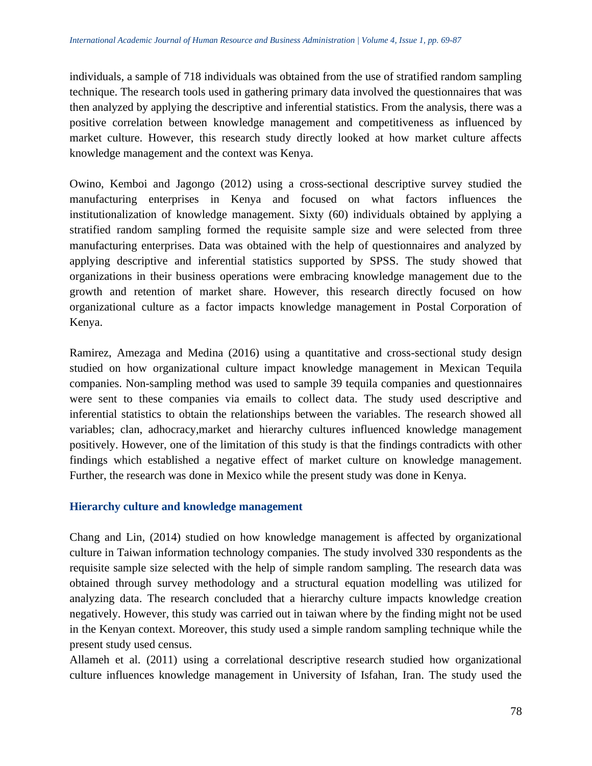individuals, a sample of 718 individuals was obtained from the use of stratified random sampling technique. The research tools used in gathering primary data involved the questionnaires that was then analyzed by applying the descriptive and inferential statistics. From the analysis, there was a positive correlation between knowledge management and competitiveness as influenced by market culture. However, this research study directly looked at how market culture affects knowledge management and the context was Kenya.

Owino, Kemboi and Jagongo (2012) using a cross-sectional descriptive survey studied the manufacturing enterprises in Kenya and focused on what factors influences the institutionalization of knowledge management. Sixty (60) individuals obtained by applying a stratified random sampling formed the requisite sample size and were selected from three manufacturing enterprises. Data was obtained with the help of questionnaires and analyzed by applying descriptive and inferential statistics supported by SPSS. The study showed that organizations in their business operations were embracing knowledge management due to the growth and retention of market share. However, this research directly focused on how organizational culture as a factor impacts knowledge management in Postal Corporation of Kenya.

Ramirez, Amezaga and Medina (2016) using a quantitative and cross-sectional study design studied on how organizational culture impact knowledge management in Mexican Tequila companies. Non-sampling method was used to sample 39 tequila companies and questionnaires were sent to these companies via emails to collect data. The study used descriptive and inferential statistics to obtain the relationships between the variables. The research showed all variables; clan, adhocracy,market and hierarchy cultures influenced knowledge management positively. However, one of the limitation of this study is that the findings contradicts with other findings which established a negative effect of market culture on knowledge management. Further, the research was done in Mexico while the present study was done in Kenya.

## **Hierarchy culture and knowledge management**

Chang and Lin, (2014) studied on how knowledge management is affected by organizational culture in Taiwan information technology companies. The study involved 330 respondents as the requisite sample size selected with the help of simple random sampling. The research data was obtained through survey methodology and a structural equation modelling was utilized for analyzing data. The research concluded that a hierarchy culture impacts knowledge creation negatively. However, this study was carried out in taiwan where by the finding might not be used in the Kenyan context. Moreover, this study used a simple random sampling technique while the present study used census.

Allameh et al. (2011) using a correlational descriptive research studied how organizational culture influences knowledge management in University of Isfahan, Iran. The study used the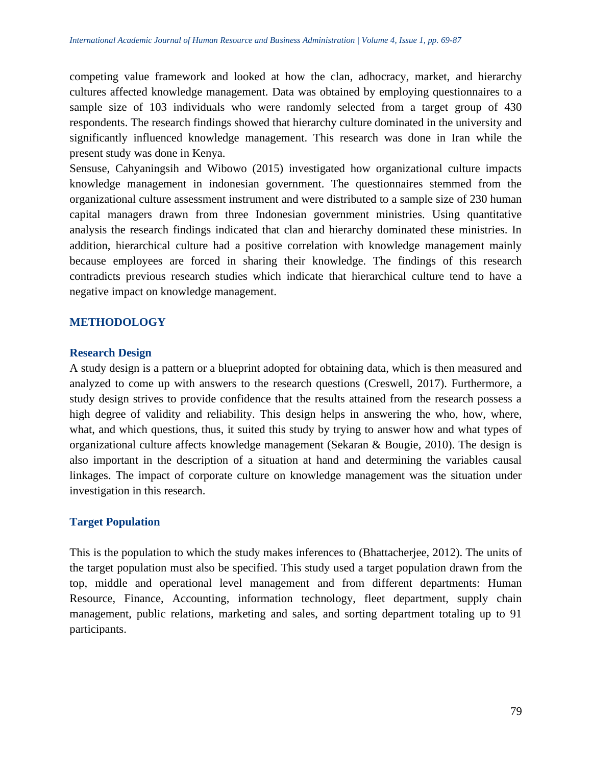competing value framework and looked at how the clan, adhocracy, market, and hierarchy cultures affected knowledge management. Data was obtained by employing questionnaires to a sample size of 103 individuals who were randomly selected from a target group of 430 respondents. The research findings showed that hierarchy culture dominated in the university and significantly influenced knowledge management. This research was done in Iran while the present study was done in Kenya.

Sensuse, Cahyaningsih and Wibowo (2015) investigated how organizational culture impacts knowledge management in indonesian government. The questionnaires stemmed from the organizational culture assessment instrument and were distributed to a sample size of 230 human capital managers drawn from three Indonesian government ministries. Using quantitative analysis the research findings indicated that clan and hierarchy dominated these ministries. In addition, hierarchical culture had a positive correlation with knowledge management mainly because employees are forced in sharing their knowledge. The findings of this research contradicts previous research studies which indicate that hierarchical culture tend to have a negative impact on knowledge management.

## **METHODOLOGY**

#### **Research Design**

A study design is a pattern or a blueprint adopted for obtaining data, which is then measured and analyzed to come up with answers to the research questions (Creswell, 2017). Furthermore, a study design strives to provide confidence that the results attained from the research possess a high degree of validity and reliability. This design helps in answering the who, how, where, what, and which questions, thus, it suited this study by trying to answer how and what types of organizational culture affects knowledge management (Sekaran & Bougie, 2010). The design is also important in the description of a situation at hand and determining the variables causal linkages. The impact of corporate culture on knowledge management was the situation under investigation in this research.

## **Target Population**

This is the population to which the study makes inferences to (Bhattacherjee, 2012). The units of the target population must also be specified. This study used a target population drawn from the top, middle and operational level management and from different departments: Human Resource, Finance, Accounting, information technology, fleet department, supply chain management, public relations, marketing and sales, and sorting department totaling up to 91 participants.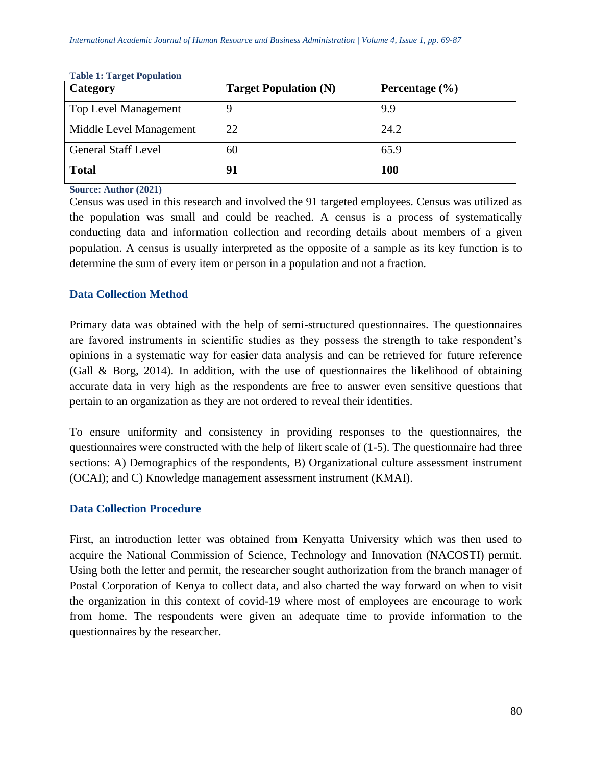| Category                    | <b>Target Population (N)</b> | Percentage $(\% )$ |
|-----------------------------|------------------------------|--------------------|
| <b>Top Level Management</b> |                              | 9.9                |
| Middle Level Management     | 22                           | 24.2               |
| <b>General Staff Level</b>  | 60                           | 65.9               |
| <b>Total</b>                | 91                           | <b>100</b>         |

#### **Table 1: Target Population**

#### **Source: Author (2021)**

Census was used in this research and involved the 91 targeted employees. Census was utilized as the population was small and could be reached. A census is a process of systematically conducting data and information collection and recording details about members of a given population. A census is usually interpreted as the opposite of a sample as its key function is to determine the sum of every item or person in a population and not a fraction.

## **Data Collection Method**

Primary data was obtained with the help of semi-structured questionnaires. The questionnaires are favored instruments in scientific studies as they possess the strength to take respondent's opinions in a systematic way for easier data analysis and can be retrieved for future reference (Gall & Borg, 2014). In addition, with the use of questionnaires the likelihood of obtaining accurate data in very high as the respondents are free to answer even sensitive questions that pertain to an organization as they are not ordered to reveal their identities.

To ensure uniformity and consistency in providing responses to the questionnaires, the questionnaires were constructed with the help of likert scale of (1-5). The questionnaire had three sections: A) Demographics of the respondents, B) Organizational culture assessment instrument (OCAI); and C) Knowledge management assessment instrument (KMAI).

## **Data Collection Procedure**

First, an introduction letter was obtained from Kenyatta University which was then used to acquire the National Commission of Science, Technology and Innovation (NACOSTI) permit. Using both the letter and permit, the researcher sought authorization from the branch manager of Postal Corporation of Kenya to collect data, and also charted the way forward on when to visit the organization in this context of covid-19 where most of employees are encourage to work from home. The respondents were given an adequate time to provide information to the questionnaires by the researcher.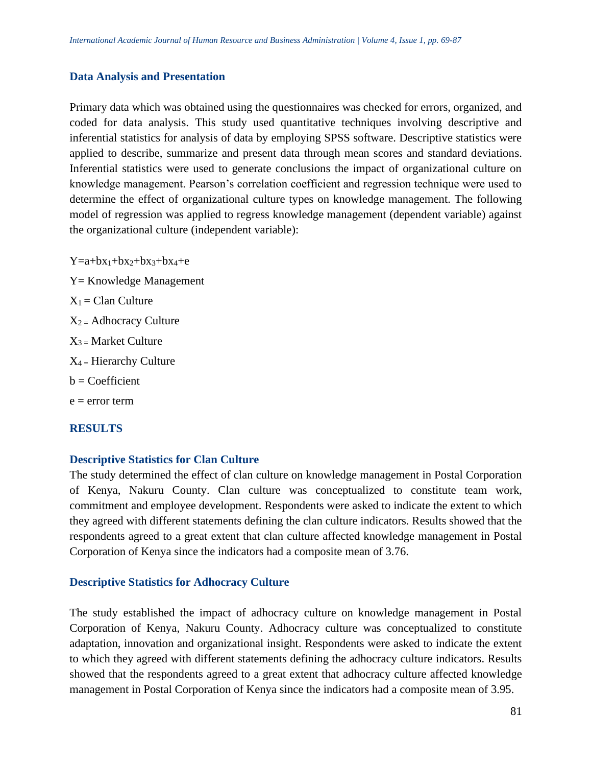#### **Data Analysis and Presentation**

Primary data which was obtained using the questionnaires was checked for errors, organized, and coded for data analysis. This study used quantitative techniques involving descriptive and inferential statistics for analysis of data by employing SPSS software. Descriptive statistics were applied to describe, summarize and present data through mean scores and standard deviations. Inferential statistics were used to generate conclusions the impact of organizational culture on knowledge management. Pearson's correlation coefficient and regression technique were used to determine the effect of organizational culture types on knowledge management. The following model of regression was applied to regress knowledge management (dependent variable) against the organizational culture (independent variable):

 $Y=a+bx_1+bx_2+bx_3+bx_4+e$ Y= Knowledge Management  $X_1 =$ Clan Culture  $X_2$  = Adhocracy Culture  $X_3$  = Market Culture  $X_4$  = Hierarchy Culture  $b = Coefficient$  $e = error term$ 

## **RESULTS**

#### **Descriptive Statistics for Clan Culture**

The study determined the effect of clan culture on knowledge management in Postal Corporation of Kenya, Nakuru County. Clan culture was conceptualized to constitute team work, commitment and employee development. Respondents were asked to indicate the extent to which they agreed with different statements defining the clan culture indicators. Results showed that the respondents agreed to a great extent that clan culture affected knowledge management in Postal Corporation of Kenya since the indicators had a composite mean of 3.76.

## **Descriptive Statistics for Adhocracy Culture**

The study established the impact of adhocracy culture on knowledge management in Postal Corporation of Kenya, Nakuru County. Adhocracy culture was conceptualized to constitute adaptation, innovation and organizational insight. Respondents were asked to indicate the extent to which they agreed with different statements defining the adhocracy culture indicators. Results showed that the respondents agreed to a great extent that adhocracy culture affected knowledge management in Postal Corporation of Kenya since the indicators had a composite mean of 3.95.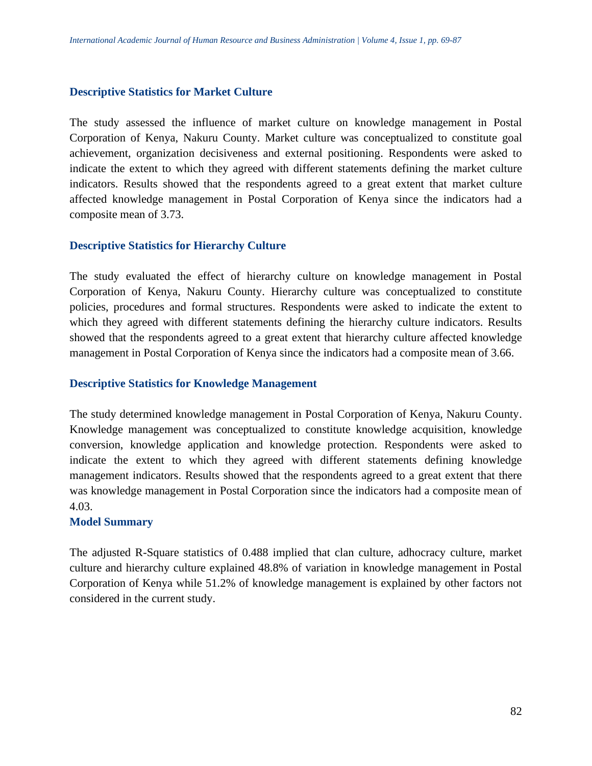#### **Descriptive Statistics for Market Culture**

The study assessed the influence of market culture on knowledge management in Postal Corporation of Kenya, Nakuru County. Market culture was conceptualized to constitute goal achievement, organization decisiveness and external positioning. Respondents were asked to indicate the extent to which they agreed with different statements defining the market culture indicators. Results showed that the respondents agreed to a great extent that market culture affected knowledge management in Postal Corporation of Kenya since the indicators had a composite mean of 3.73.

#### **Descriptive Statistics for Hierarchy Culture**

The study evaluated the effect of hierarchy culture on knowledge management in Postal Corporation of Kenya, Nakuru County. Hierarchy culture was conceptualized to constitute policies, procedures and formal structures. Respondents were asked to indicate the extent to which they agreed with different statements defining the hierarchy culture indicators. Results showed that the respondents agreed to a great extent that hierarchy culture affected knowledge management in Postal Corporation of Kenya since the indicators had a composite mean of 3.66.

#### **Descriptive Statistics for Knowledge Management**

The study determined knowledge management in Postal Corporation of Kenya, Nakuru County. Knowledge management was conceptualized to constitute knowledge acquisition, knowledge conversion, knowledge application and knowledge protection. Respondents were asked to indicate the extent to which they agreed with different statements defining knowledge management indicators. Results showed that the respondents agreed to a great extent that there was knowledge management in Postal Corporation since the indicators had a composite mean of 4.03.

## **Model Summary**

The adjusted R-Square statistics of 0.488 implied that clan culture, adhocracy culture, market culture and hierarchy culture explained 48.8% of variation in knowledge management in Postal Corporation of Kenya while 51.2% of knowledge management is explained by other factors not considered in the current study.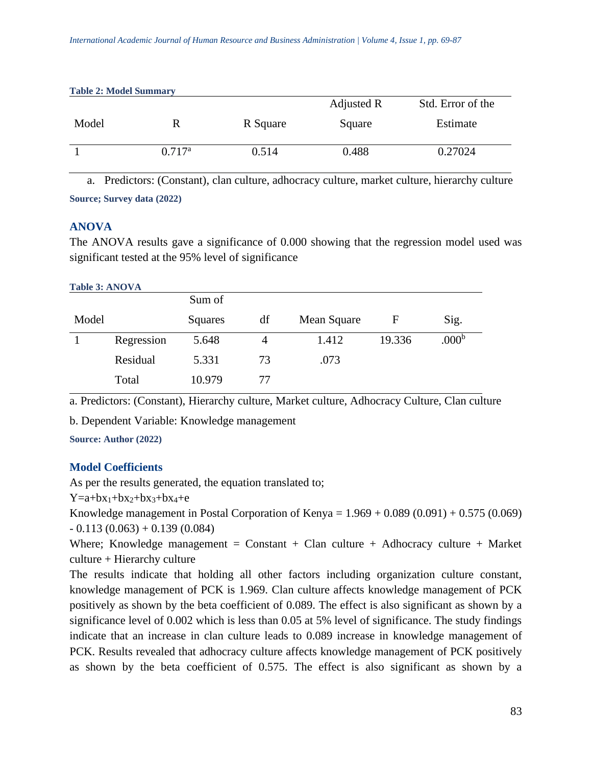| Table 2. Mouch Bunningh v |                 |          |            |                   |  |  |
|---------------------------|-----------------|----------|------------|-------------------|--|--|
|                           |                 |          | Adjusted R | Std. Error of the |  |  |
| Model                     | R               | R Square | Square     | Estimate          |  |  |
|                           | $0.717^{\rm a}$ | 0.514    | 0.488      | 0.27024           |  |  |

a. Predictors: (Constant), clan culture, adhocracy culture, market culture, hierarchy culture **Source; Survey data (2022)**

## **ANOVA**

The ANOVA results gave a significance of 0.000 showing that the regression model used was significant tested at the 95% level of significance

#### **Table 3: ANOVA**

**Table 2: Model Summary**

|       |            | Sum of  |    |             |        |                   |
|-------|------------|---------|----|-------------|--------|-------------------|
| Model |            | Squares | df | Mean Square | F      | Sig.              |
|       | Regression | 5.648   | 4  | 1.412       | 19.336 | .000 <sup>b</sup> |
|       | Residual   | 5.331   | 73 | .073        |        |                   |
|       | Total      | 10.979  | 77 |             |        |                   |

a. Predictors: (Constant), Hierarchy culture, Market culture, Adhocracy Culture, Clan culture

b. Dependent Variable: Knowledge management

**Source: Author (2022)**

# **Model Coefficients**

As per the results generated, the equation translated to;

 $Y=a+bx_1+bx_2+bx_3+bx_4+e$ 

Knowledge management in Postal Corporation of Kenya =  $1.969 + 0.089 (0.091) + 0.575 (0.069)$  $-0.113(0.063) + 0.139(0.084)$ 

Where; Knowledge management =  $Constant + Claim$  culture + Adhocracy culture + Market culture + Hierarchy culture

The results indicate that holding all other factors including organization culture constant, knowledge management of PCK is 1.969. Clan culture affects knowledge management of PCK positively as shown by the beta coefficient of 0.089. The effect is also significant as shown by a significance level of 0.002 which is less than 0.05 at 5% level of significance. The study findings indicate that an increase in clan culture leads to 0.089 increase in knowledge management of PCK. Results revealed that adhocracy culture affects knowledge management of PCK positively as shown by the beta coefficient of 0.575. The effect is also significant as shown by a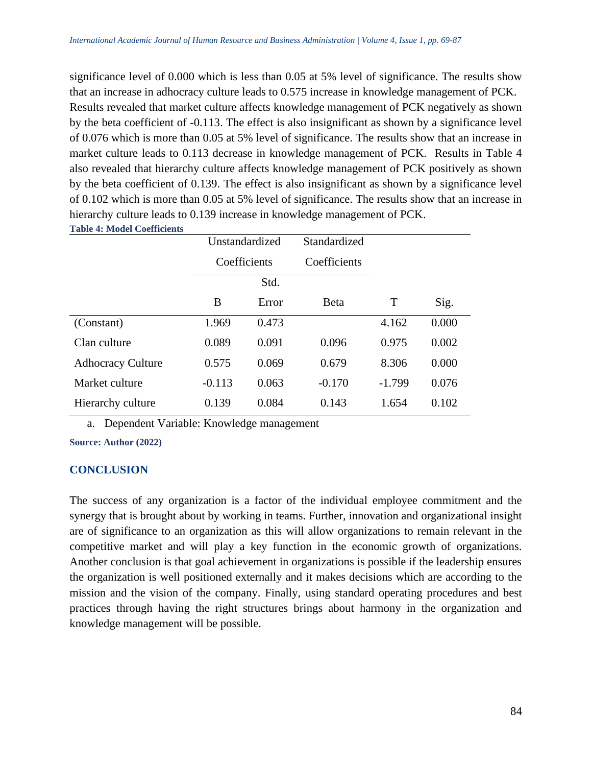significance level of 0.000 which is less than 0.05 at 5% level of significance. The results show that an increase in adhocracy culture leads to 0.575 increase in knowledge management of PCK. Results revealed that market culture affects knowledge management of PCK negatively as shown by the beta coefficient of -0.113. The effect is also insignificant as shown by a significance level of 0.076 which is more than 0.05 at 5% level of significance. The results show that an increase in market culture leads to 0.113 decrease in knowledge management of PCK. Results in Table 4 also revealed that hierarchy culture affects knowledge management of PCK positively as shown by the beta coefficient of 0.139. The effect is also insignificant as shown by a significance level of 0.102 which is more than 0.05 at 5% level of significance. The results show that an increase in hierarchy culture leads to 0.139 increase in knowledge management of PCK.

**Table 4: Model Coefficients** 

|                          | Unstandardized |       | Standardized |          |       |
|--------------------------|----------------|-------|--------------|----------|-------|
|                          | Coefficients   |       | Coefficients |          |       |
|                          |                | Std.  |              |          |       |
|                          | B              | Error | <b>B</b> eta | T        | Sig.  |
| (Constant)               | 1.969          | 0.473 |              | 4.162    | 0.000 |
| Clan culture             | 0.089          | 0.091 | 0.096        | 0.975    | 0.002 |
| <b>Adhocracy Culture</b> | 0.575          | 0.069 | 0.679        | 8.306    | 0.000 |
| Market culture           | $-0.113$       | 0.063 | $-0.170$     | $-1.799$ | 0.076 |
| Hierarchy culture        | 0.139          | 0.084 | 0.143        | 1.654    | 0.102 |

a. Dependent Variable: Knowledge management

**Source: Author (2022)**

## **CONCLUSION**

The success of any organization is a factor of the individual employee commitment and the synergy that is brought about by working in teams. Further, innovation and organizational insight are of significance to an organization as this will allow organizations to remain relevant in the competitive market and will play a key function in the economic growth of organizations. Another conclusion is that goal achievement in organizations is possible if the leadership ensures the organization is well positioned externally and it makes decisions which are according to the mission and the vision of the company. Finally, using standard operating procedures and best practices through having the right structures brings about harmony in the organization and knowledge management will be possible.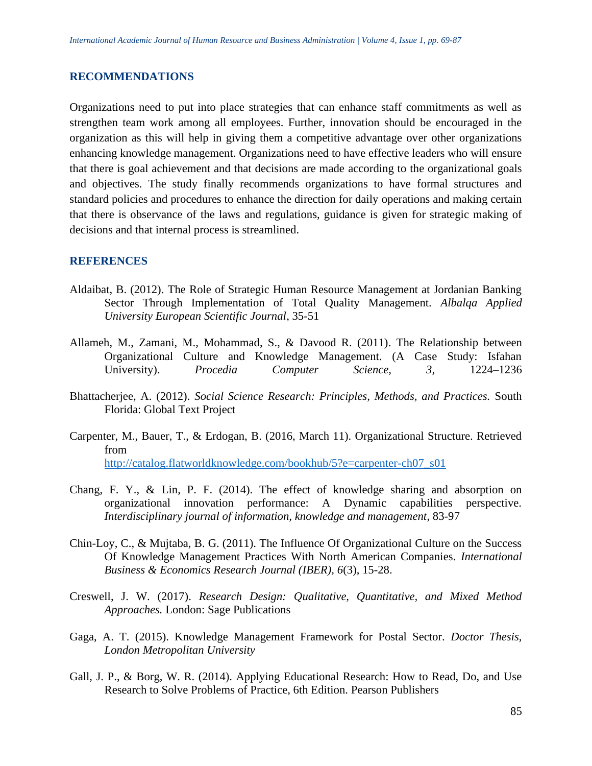#### **RECOMMENDATIONS**

Organizations need to put into place strategies that can enhance staff commitments as well as strengthen team work among all employees. Further, innovation should be encouraged in the organization as this will help in giving them a competitive advantage over other organizations enhancing knowledge management. Organizations need to have effective leaders who will ensure that there is goal achievement and that decisions are made according to the organizational goals and objectives. The study finally recommends organizations to have formal structures and standard policies and procedures to enhance the direction for daily operations and making certain that there is observance of the laws and regulations, guidance is given for strategic making of decisions and that internal process is streamlined.

## **REFERENCES**

- Aldaibat, B. (2012). The Role of Strategic Human Resource Management at Jordanian Banking Sector Through Implementation of Total Quality Management. *Albalqa Applied University European Scientific Journal*, 35-51
- Allameh, M., Zamani, M., Mohammad, S., & Davood R. (2011). The Relationship between Organizational Culture and Knowledge Management. (A Case Study: Isfahan University). *Procedia Computer Science, 3,* 1224–1236
- Bhattacherjee, A. (2012). *Social Science Research: Principles, Methods, and Practices.* South Florida: Global Text Project
- Carpenter, M., Bauer, T., & Erdogan, B. (2016, March 11). Organizational Structure. Retrieved from [http://catalog.flatworldknowledge.com/bookhub/5?e=carpenter-ch07\\_s01](http://catalog.flatworldknowledge.com/bookhub/5?e=carpenter-ch07_s01)
- Chang, F. Y., & Lin, P. F. (2014). The effect of knowledge sharing and absorption on organizational innovation performance: A Dynamic capabilities perspective. *Interdisciplinary journal of information, knowledge and management*, 83-97
- Chin-Loy, C., & Mujtaba, B. G. (2011). The Influence Of Organizational Culture on the Success Of Knowledge Management Practices With North American Companies. *International Business & Economics Research Journal (IBER), 6*(3), 15-28.
- Creswell, J. W. (2017). *Research Design: Qualitative, Quantitative, and Mixed Method Approaches.* London: Sage Publications
- Gaga, A. T. (2015). Knowledge Management Framework for Postal Sector. *Doctor Thesis, London Metropolitan University*
- Gall, J. P., & Borg, W. R. (2014). Applying Educational Research: How to Read, Do, and Use Research to Solve Problems of Practice, 6th Edition. Pearson Publishers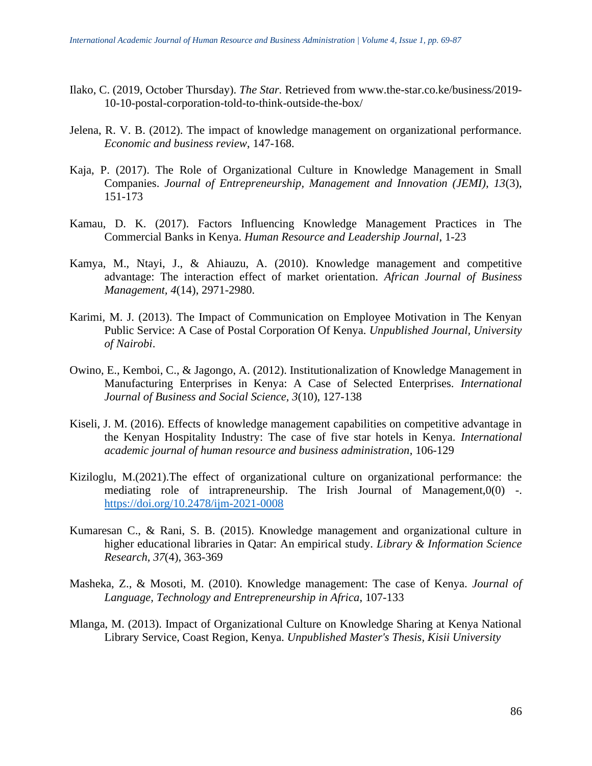- Ilako, C. (2019, October Thursday). *The Star.* Retrieved from www.the-star.co.ke/business/2019- 10-10-postal-corporation-told-to-think-outside-the-box/
- Jelena, R. V. B. (2012). The impact of knowledge management on organizational performance. *Economic and business review*, 147-168.
- Kaja, P. (2017). The Role of Organizational Culture in Knowledge Management in Small Companies. *Journal of Entrepreneurship, Management and Innovation (JEMI), 13*(3), 151-173
- Kamau, D. K. (2017). Factors Influencing Knowledge Management Practices in The Commercial Banks in Kenya. *Human Resource and Leadership Journal*, 1-23
- Kamya, M., Ntayi, J., & Ahiauzu, A. (2010). Knowledge management and competitive advantage: The interaction effect of market orientation. *African Journal of Business Management, 4*(14), 2971-2980.
- Karimi, M. J. (2013). The Impact of Communication on Employee Motivation in The Kenyan Public Service: A Case of Postal Corporation Of Kenya. *Unpublished Journal, University of Nairobi*.
- Owino, E., Kemboi, C., & Jagongo, A. (2012). Institutionalization of Knowledge Management in Manufacturing Enterprises in Kenya: A Case of Selected Enterprises. *International Journal of Business and Social Science, 3*(10), 127-138
- Kiseli, J. M. (2016). Effects of knowledge management capabilities on competitive advantage in the Kenyan Hospitality Industry: The case of five star hotels in Kenya. *International academic journal of human resource and business administration*, 106-129
- Kiziloglu, M.(2021).The effect of organizational culture on organizational performance: the mediating role of intrapreneurship. The Irish Journal of Management, $0(0)$  -. <https://doi.org/10.2478/ijm-2021-0008>
- Kumaresan C., & Rani, S. B. (2015). Knowledge management and organizational culture in higher educational libraries in Qatar: An empirical study. *Library & Information Science Research, 37*(4), 363-369
- Masheka, Z., & Mosoti, M. (2010). Knowledge management: The case of Kenya. *Journal of Language, Technology and Entrepreneurship in Africa*, 107-133
- Mlanga, M. (2013). Impact of Organizational Culture on Knowledge Sharing at Kenya National Library Service, Coast Region, Kenya. *Unpublished Master's Thesis, Kisii University*